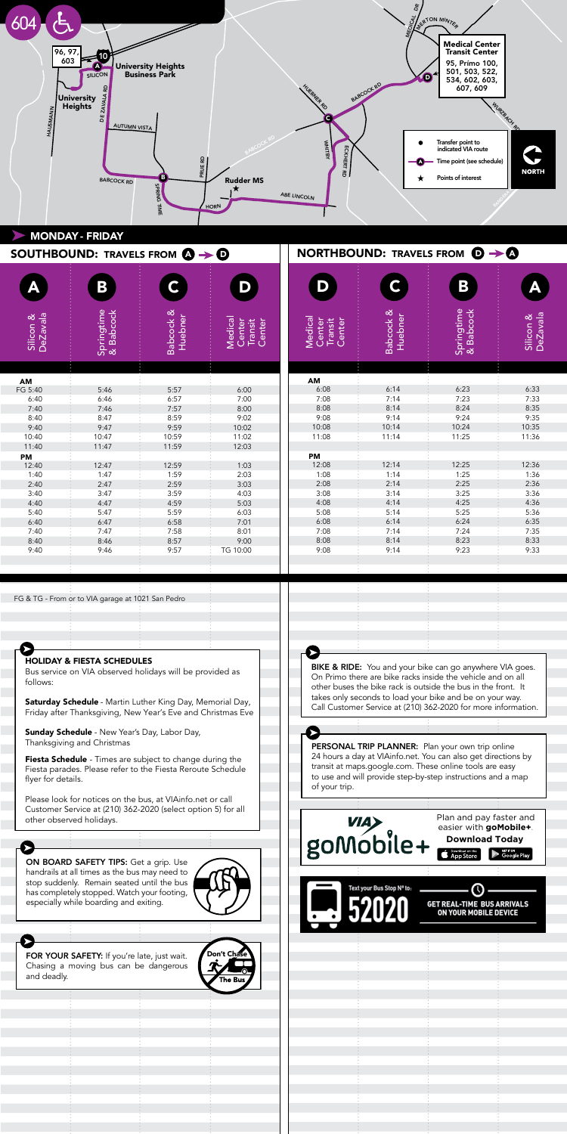

|                       | SOUTHBOUND: TRAVELS FROM $\mathbf{\Omega} \rightarrow \mathbf{\Theta}$                        |                                 |                                        | <b>NORTHBOUND: TRAVELS FROM <math>\odot \rightarrow \odot</math></b> |                      |                                                          |                       |
|-----------------------|-----------------------------------------------------------------------------------------------|---------------------------------|----------------------------------------|----------------------------------------------------------------------|----------------------|----------------------------------------------------------|-----------------------|
|                       | B                                                                                             |                                 | D                                      | D                                                                    | C.                   | B                                                        |                       |
| DeZavala<br>Silicon & | Springtime<br>& Babcock                                                                       | <b>Babcock &amp;</b><br>Huebner | Medical<br>Center<br>Transit<br>Center | Medical<br>Center<br>Transit<br>Center                               | Babcock &<br>Huebner | Springtime<br>& Babcock                                  | DeZavala<br>Silicon & |
|                       |                                                                                               |                                 |                                        |                                                                      |                      |                                                          |                       |
| AM<br>FG 5:40         | 5:46                                                                                          | 5:57                            | 6:00                                   | AM<br>6:08                                                           | 6:14                 | 6:23                                                     | 6:33                  |
| 6:40                  | 6:46                                                                                          | 6:57                            | 7:00                                   | 7:08                                                                 | 7:14                 | 7:23                                                     | 7:33                  |
| 7:40                  | 7:46                                                                                          | 7:57                            | 8:00                                   | 8:08                                                                 | 8:14                 | 8:24                                                     | 8:35                  |
| 8:40                  | 8:47                                                                                          | 8:59                            | 9:02                                   | 9:08                                                                 | 9:14                 | 9:24                                                     | 9:35                  |
| 9:40                  | 9:47                                                                                          | 9:59                            | 10:02                                  | 10:08                                                                | 10:14                | 10:24                                                    | 10:35                 |
| 10:40                 | 10:47                                                                                         | 10:59                           | 11:02                                  | 11:08                                                                | 11:14                | 11:25                                                    | 11:36                 |
| 11:40                 | 11:47                                                                                         | 11:59                           | 12:03                                  |                                                                      |                      |                                                          |                       |
| PM                    |                                                                                               |                                 |                                        | PM                                                                   |                      |                                                          |                       |
| 12:40                 | 12:47                                                                                         | 12:59                           | 1:03                                   | 12:08                                                                | 12:14                | 12:25                                                    | 12:36                 |
| 1:40                  | 1:47                                                                                          | 1:59                            | 2:03                                   | 1:08                                                                 | 1:14                 | 1:25                                                     | 1:36                  |
| 2:40                  | 2:47                                                                                          | 2:59                            | 3:03                                   | 2:08                                                                 | 2:14                 | 2:25                                                     | 2:36                  |
| 3:40                  | 3:47                                                                                          | 3:59                            | 4:03                                   | 3:08                                                                 | 3:14                 | 3:25                                                     | 3:36                  |
| 4:40                  | 4:47                                                                                          | 4:59                            | 5:03                                   | 4:08                                                                 | 4:14                 | 4:25                                                     | 4:36                  |
| 5:40                  | 5:47                                                                                          | 5:59                            | 6:03                                   | 5:08                                                                 | 5:14                 | 5:25                                                     | 5:36                  |
| 6:40                  | 6:47                                                                                          | 6:58                            | 7:01                                   | 6:08                                                                 | 6:14                 | 6:24                                                     | 6:35                  |
| 7:40                  | 7:47                                                                                          | 7:58                            | 8:01                                   | 7:08                                                                 | 7:14                 | 7:24                                                     | 7:35                  |
| 8:40                  | 8:46                                                                                          | 8:57                            | 9:00                                   | 8:08                                                                 | 8:14                 | 8:23                                                     | 8:33                  |
| 9:40                  | 9:46                                                                                          | 9:57                            | TG 10:00                               | 9:08                                                                 | 9:14                 | 9:23                                                     | 9:33                  |
|                       | FG & TG - From or to VIA garage at 1021 San Pedro                                             |                                 |                                        |                                                                      |                      |                                                          |                       |
|                       | <b>HOLIDAY &amp; FIESTA SCHEDULES</b><br>Due senice on VIA ebecased holidays will be provided |                                 |                                        |                                                                      |                      | BIKE & RIDE: You and your bike can go anywhere VIA goes. |                       |

Bus service on VIA observed holidays will be provided as follows:  $\overline{\phantom{a}}$ PERSONAL TRIP PLANNERS: PLANNERS: PLANNERS: PLANNERS: PLANNERS: PLANNERS: PLANNERS: PLANNERS: PLANNERS: PLANNERS: PLANNERS: PLANNERS: PLANNERS: PLANNERS: PLANNERS: PLANNERS: PLANNERS: PLANNERS: PLANNERS: PLANNERS: PLANNERS

**Saturday Schedule** - Martin Luther King Day, Memorial Day, Jaturday Jeneddie - Martin Eddier King Day, Memohar Day,<br>Friday after Thanksgiving, New Year's Eve and Christmas Eve Friday after Thanksgiving, New Year's Eve and Christmas <mark>E</mark>

**Sunday Schedule** - New Year's Day, Labor Day, Thanksgiving and Christmas

Ξ

Fiesta Schedule - Times are subject to change during the Fiesta parades. Please refer to the Fiesta Reroute Schedule flyer for details. For you cannot  $\sum_{i=1}^{n}$  $\mathbf{b}$ 

Please look for notices on the bus, at VIAinfo.net or call Prease foot for hottess on the bas, at William street of call<br>Customer Service at (210) 362-2020 (select option 5) for all other observed holidays.

Σ ON BOARD SAFETY TIPS: Get a grip. Use bether and pay factor and pay at  $\frac{1}{2}$  in the case of a grip. See  $\sim$   $\sim$   $\sim$   $\sim$ stop suddenly. Remain seated until the bus has completely stopped. Watch your footing, nas somprotory stoppoor materny surveys in

When **Domes a** 1:11 years late, jo Chasing a moving bus can be dangerous  $\mathcal{L}$  $\blacksquare$  and deducity. FOR YOUR SAFETY: If you're late, just wait. and deadly.

Ø

ON BOARD SAFETY TIPS: Get a grip. Use handrails at all times as the bus may need to stop suddenly. Remain seated until the bus has completely stopped. Watch your footing, especially while boarding and exiting.

HOLIDAY & FIESTA SCHEDULES

WHAT DOES "7:05 / 7:16" MEANS AND THE REAL PROPERTY AND THE REAL PROPERTY AND REAL PROPERTY.

depart, both the arrival and departures times are displayed. This helps passengers plan transfers to other routes.

Bus service on VIA observed holidays will be provided as

Saturday Schedule - Martin Luther King Day, Memorial Day,



**BIKE & RIDE:** You and your bike can go anywhere VIA goes. On Primo there are bike racks inside the vehicle and on all other buses the bike rack is outside the bus in the front. It takes only seconds to load your bike and be on your way. take Sing Seconds to local your bind and bo on your maji.<br>Call Customer Service at (210) 362-2020 for more information. Fiesta parades. Please refer to the Fiesta Reroute Schedule

## flyer for details.

24 hours a day at VIAinfo.net. You can also get directions by transit at maps.google.com. These online tools are easy to use and will provide step-by-step instructions and a map of your trip.  $\mathcal{L}$ PERSONAL TRIP PLANNER: Plan your own trip online



ON YOUR MOBILE DEVICE

Normally just departure times are printed on the schedules. However, when a bus is scheduled to arrive at a major transfer point several minutes before it is scheduled to depart, both the arrival and departures times are displayed. This helps passengers plan transfers to other routes.

However, when a bus is scheduled to arrive at a major

This helps passengers plan transfers to other routes.

ON BOARD SAFETY TIPS: Get a grip. Use

WHAT DOES "7:05 / 7:16" MEANS

 $\frac{1}{2}$  On Board  $\frac{1}{2}$ handrails at all times as the bus may need to stop suddenly. Remain seated until the bus has completely stopped. Watch your footing, especially while boarding and exiting.